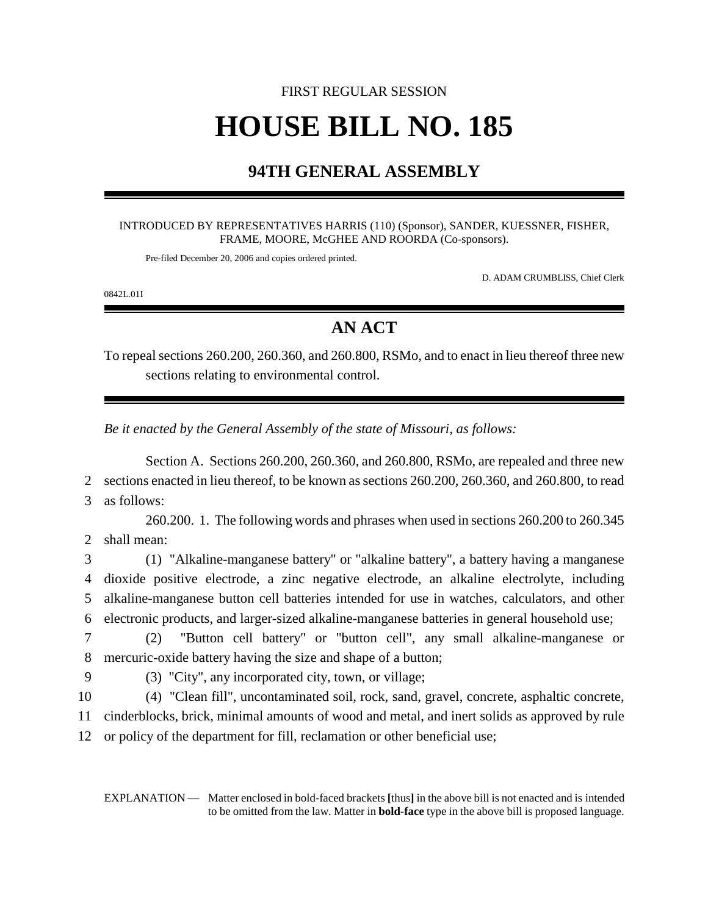# FIRST REGULAR SESSION **HOUSE BILL NO. 185**

### **94TH GENERAL ASSEMBLY**

#### INTRODUCED BY REPRESENTATIVES HARRIS (110) (Sponsor), SANDER, KUESSNER, FISHER, FRAME, MOORE, McGHEE AND ROORDA (Co-sponsors).

Pre-filed December 20, 2006 and copies ordered printed.

D. ADAM CRUMBLISS, Chief Clerk

0842L.01I

## **AN ACT**

To repeal sections 260.200, 260.360, and 260.800, RSMo, and to enact in lieu thereof three new sections relating to environmental control.

*Be it enacted by the General Assembly of the state of Missouri, as follows:*

Section A. Sections 260.200, 260.360, and 260.800, RSMo, are repealed and three new 2 sections enacted in lieu thereof, to be known as sections 260.200, 260.360, and 260.800, to read 3 as follows:

260.200. 1. The following words and phrases when used in sections 260.200 to 260.345 2 shall mean:

 (1) "Alkaline-manganese battery" or "alkaline battery", a battery having a manganese dioxide positive electrode, a zinc negative electrode, an alkaline electrolyte, including alkaline-manganese button cell batteries intended for use in watches, calculators, and other electronic products, and larger-sized alkaline-manganese batteries in general household use;

7 (2) "Button cell battery" or "button cell", any small alkaline-manganese or 8 mercuric-oxide battery having the size and shape of a button;

- 
- 9 (3) "City", any incorporated city, town, or village;

10 (4) "Clean fill", uncontaminated soil, rock, sand, gravel, concrete, asphaltic concrete, 11 cinderblocks, brick, minimal amounts of wood and metal, and inert solids as approved by rule 12 or policy of the department for fill, reclamation or other beneficial use;

EXPLANATION — Matter enclosed in bold-faced brackets **[**thus**]** in the above bill is not enacted and is intended to be omitted from the law. Matter in **bold-face** type in the above bill is proposed language.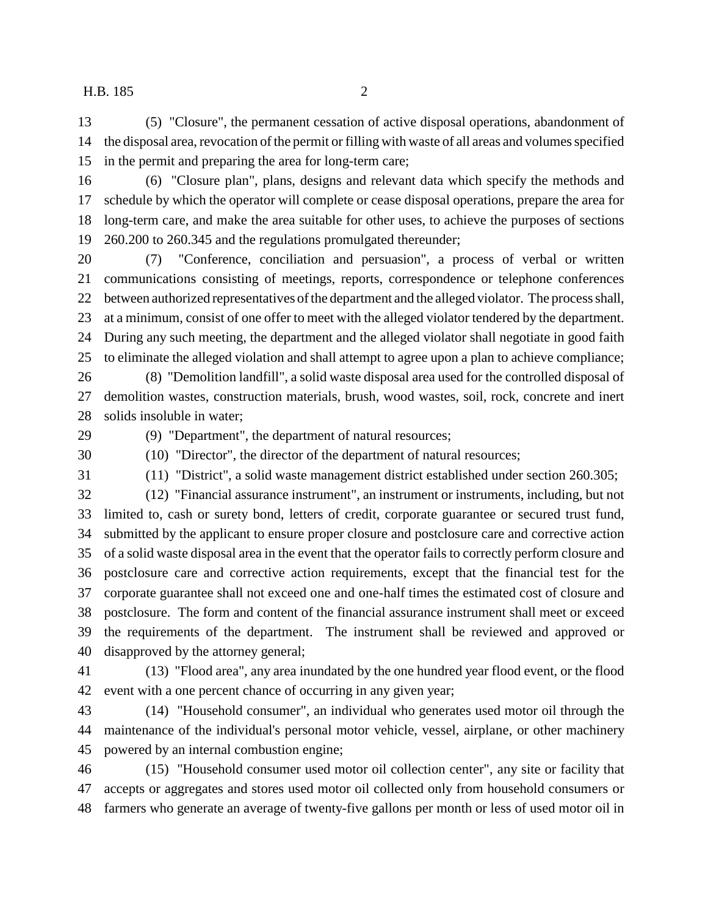(5) "Closure", the permanent cessation of active disposal operations, abandonment of the disposal area, revocation of the permit or filling with waste of all areas and volumes specified in the permit and preparing the area for long-term care;

- (6) "Closure plan", plans, designs and relevant data which specify the methods and schedule by which the operator will complete or cease disposal operations, prepare the area for long-term care, and make the area suitable for other uses, to achieve the purposes of sections 260.200 to 260.345 and the regulations promulgated thereunder;
- (7) "Conference, conciliation and persuasion", a process of verbal or written communications consisting of meetings, reports, correspondence or telephone conferences between authorized representatives of the department and the alleged violator. The process shall, at a minimum, consist of one offer to meet with the alleged violator tendered by the department. During any such meeting, the department and the alleged violator shall negotiate in good faith to eliminate the alleged violation and shall attempt to agree upon a plan to achieve compliance;
- (8) "Demolition landfill", a solid waste disposal area used for the controlled disposal of demolition wastes, construction materials, brush, wood wastes, soil, rock, concrete and inert solids insoluble in water;
- 

(9) "Department", the department of natural resources;

 (10) "Director", the director of the department of natural resources; (11) "District", a solid waste management district established under section 260.305;

(12) "Financial assurance instrument", an instrument or instruments, including, but not

 limited to, cash or surety bond, letters of credit, corporate guarantee or secured trust fund, submitted by the applicant to ensure proper closure and postclosure care and corrective action of a solid waste disposal area in the event that the operator fails to correctly perform closure and postclosure care and corrective action requirements, except that the financial test for the corporate guarantee shall not exceed one and one-half times the estimated cost of closure and postclosure. The form and content of the financial assurance instrument shall meet or exceed the requirements of the department. The instrument shall be reviewed and approved or disapproved by the attorney general;

 (13) "Flood area", any area inundated by the one hundred year flood event, or the flood event with a one percent chance of occurring in any given year;

 (14) "Household consumer", an individual who generates used motor oil through the maintenance of the individual's personal motor vehicle, vessel, airplane, or other machinery powered by an internal combustion engine;

 (15) "Household consumer used motor oil collection center", any site or facility that accepts or aggregates and stores used motor oil collected only from household consumers or farmers who generate an average of twenty-five gallons per month or less of used motor oil in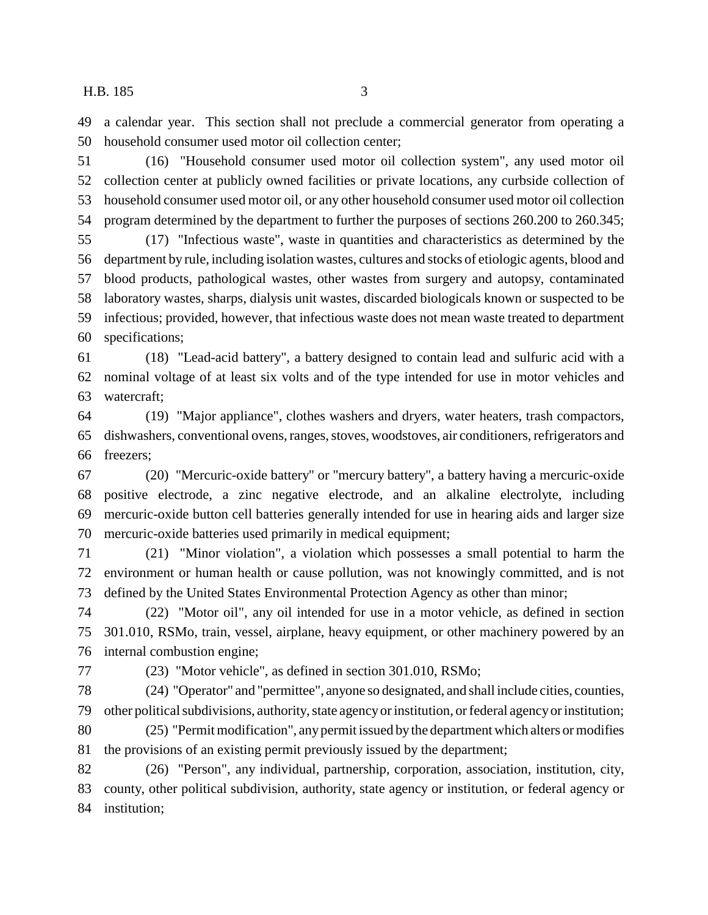a calendar year. This section shall not preclude a commercial generator from operating a household consumer used motor oil collection center;

 (16) "Household consumer used motor oil collection system", any used motor oil collection center at publicly owned facilities or private locations, any curbside collection of household consumer used motor oil, or any other household consumer used motor oil collection program determined by the department to further the purposes of sections 260.200 to 260.345;

 (17) "Infectious waste", waste in quantities and characteristics as determined by the department by rule, including isolation wastes, cultures and stocks of etiologic agents, blood and blood products, pathological wastes, other wastes from surgery and autopsy, contaminated laboratory wastes, sharps, dialysis unit wastes, discarded biologicals known or suspected to be infectious; provided, however, that infectious waste does not mean waste treated to department specifications;

 (18) "Lead-acid battery", a battery designed to contain lead and sulfuric acid with a nominal voltage of at least six volts and of the type intended for use in motor vehicles and watercraft;

 (19) "Major appliance", clothes washers and dryers, water heaters, trash compactors, dishwashers, conventional ovens, ranges, stoves, woodstoves, air conditioners, refrigerators and freezers;

 (20) "Mercuric-oxide battery" or "mercury battery", a battery having a mercuric-oxide positive electrode, a zinc negative electrode, and an alkaline electrolyte, including mercuric-oxide button cell batteries generally intended for use in hearing aids and larger size mercuric-oxide batteries used primarily in medical equipment;

 (21) "Minor violation", a violation which possesses a small potential to harm the environment or human health or cause pollution, was not knowingly committed, and is not defined by the United States Environmental Protection Agency as other than minor;

 (22) "Motor oil", any oil intended for use in a motor vehicle, as defined in section 301.010, RSMo, train, vessel, airplane, heavy equipment, or other machinery powered by an internal combustion engine;

(23) "Motor vehicle", as defined in section 301.010, RSMo;

 (24) "Operator" and "permittee", anyone so designated, and shall include cities, counties, other political subdivisions, authority, state agency or institution, or federal agency or institution;

 (25) "Permit modification", any permit issued by the department which alters or modifies the provisions of an existing permit previously issued by the department;

 (26) "Person", any individual, partnership, corporation, association, institution, city, county, other political subdivision, authority, state agency or institution, or federal agency or institution;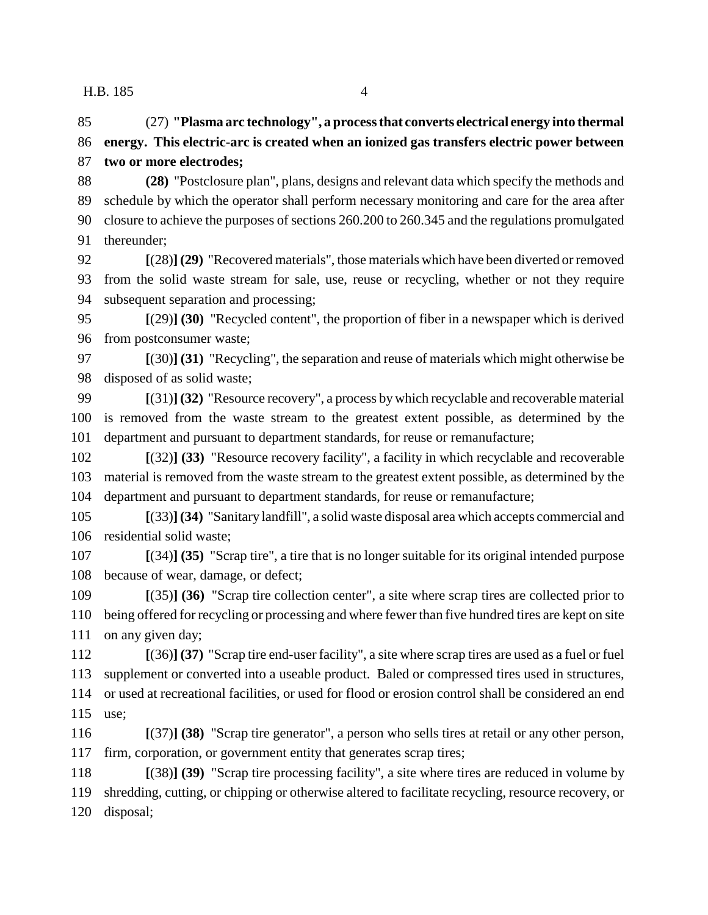(27) **"Plasma arc technology", a process that converts electrical energy into thermal energy. This electric-arc is created when an ionized gas transfers electric power between two or more electrodes; (28)** "Postclosure plan", plans, designs and relevant data which specify the methods and schedule by which the operator shall perform necessary monitoring and care for the area after closure to achieve the purposes of sections 260.200 to 260.345 and the regulations promulgated thereunder;

 **[**(28)**] (29)** "Recovered materials", those materials which have been diverted or removed from the solid waste stream for sale, use, reuse or recycling, whether or not they require subsequent separation and processing;

 **[**(29)**] (30)** "Recycled content", the proportion of fiber in a newspaper which is derived from postconsumer waste;

 **[**(30)**] (31)** "Recycling", the separation and reuse of materials which might otherwise be disposed of as solid waste;

 **[**(31)**] (32)** "Resource recovery", a process by which recyclable and recoverable material is removed from the waste stream to the greatest extent possible, as determined by the department and pursuant to department standards, for reuse or remanufacture;

 **[**(32)**] (33)** "Resource recovery facility", a facility in which recyclable and recoverable material is removed from the waste stream to the greatest extent possible, as determined by the department and pursuant to department standards, for reuse or remanufacture;

 **[**(33)**](34)** "Sanitary landfill", a solid waste disposal area which accepts commercial and residential solid waste;

 **[**(34)**] (35)** "Scrap tire", a tire that is no longer suitable for its original intended purpose because of wear, damage, or defect;

 **[**(35)**] (36)** "Scrap tire collection center", a site where scrap tires are collected prior to being offered for recycling or processing and where fewer than five hundred tires are kept on site 111 on any given day;

 **[**(36)**] (37)** "Scrap tire end-user facility", a site where scrap tires are used as a fuel or fuel supplement or converted into a useable product. Baled or compressed tires used in structures, or used at recreational facilities, or used for flood or erosion control shall be considered an end use;

 **[**(37)**] (38)** "Scrap tire generator", a person who sells tires at retail or any other person, firm, corporation, or government entity that generates scrap tires;

 **[**(38)**] (39)** "Scrap tire processing facility", a site where tires are reduced in volume by shredding, cutting, or chipping or otherwise altered to facilitate recycling, resource recovery, or disposal;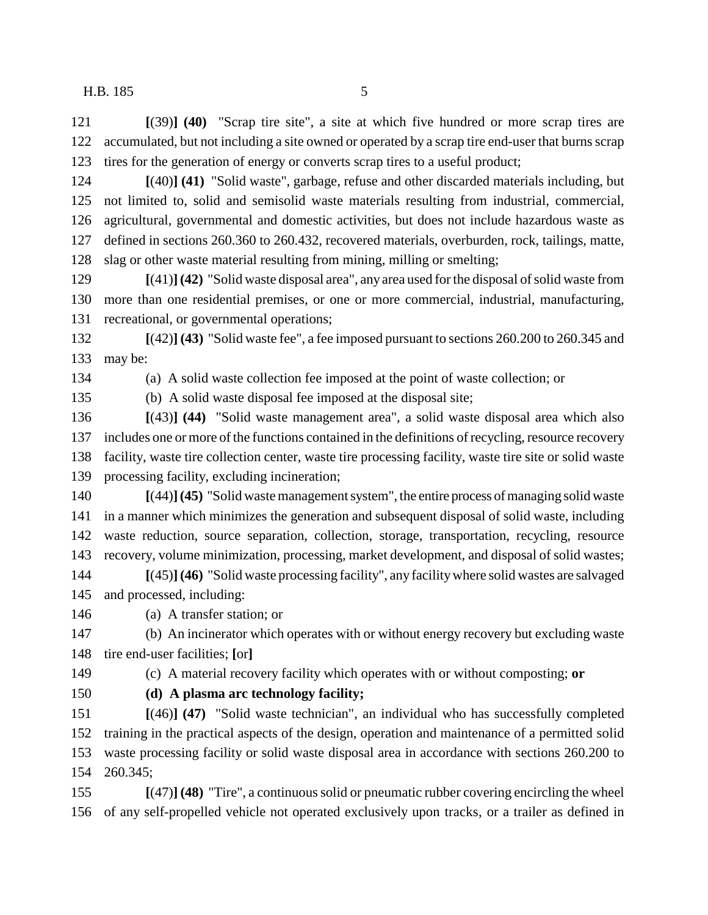**[**(39)**] (40)** "Scrap tire site", a site at which five hundred or more scrap tires are accumulated, but not including a site owned or operated by a scrap tire end-user that burns scrap tires for the generation of energy or converts scrap tires to a useful product;

 **[**(40)**] (41)** "Solid waste", garbage, refuse and other discarded materials including, but not limited to, solid and semisolid waste materials resulting from industrial, commercial, agricultural, governmental and domestic activities, but does not include hazardous waste as defined in sections 260.360 to 260.432, recovered materials, overburden, rock, tailings, matte, slag or other waste material resulting from mining, milling or smelting;

 **[**(41)**](42)** "Solid waste disposal area", any area used for the disposal of solid waste from more than one residential premises, or one or more commercial, industrial, manufacturing, recreational, or governmental operations;

 **[**(42)**] (43)** "Solid waste fee", a fee imposed pursuant to sections 260.200 to 260.345 and may be:

(a) A solid waste collection fee imposed at the point of waste collection; or

(b) A solid waste disposal fee imposed at the disposal site;

 **[**(43)**] (44)** "Solid waste management area", a solid waste disposal area which also includes one or more of the functions contained in the definitions of recycling, resource recovery facility, waste tire collection center, waste tire processing facility, waste tire site or solid waste processing facility, excluding incineration;

 **[**(44)**](45)** "Solid waste management system", the entire process of managing solid waste in a manner which minimizes the generation and subsequent disposal of solid waste, including waste reduction, source separation, collection, storage, transportation, recycling, resource recovery, volume minimization, processing, market development, and disposal of solid wastes;

 **[**(45)**](46)** "Solid waste processing facility", any facility where solid wastes are salvaged and processed, including:

(a) A transfer station; or

 (b) An incinerator which operates with or without energy recovery but excluding waste tire end-user facilities; **[**or**]**

(c) A material recovery facility which operates with or without composting; **or**

### **(d) A plasma arc technology facility;**

 **[**(46)**] (47)** "Solid waste technician", an individual who has successfully completed training in the practical aspects of the design, operation and maintenance of a permitted solid waste processing facility or solid waste disposal area in accordance with sections 260.200 to 260.345;

 **[**(47)**] (48)** "Tire", a continuous solid or pneumatic rubber covering encircling the wheel of any self-propelled vehicle not operated exclusively upon tracks, or a trailer as defined in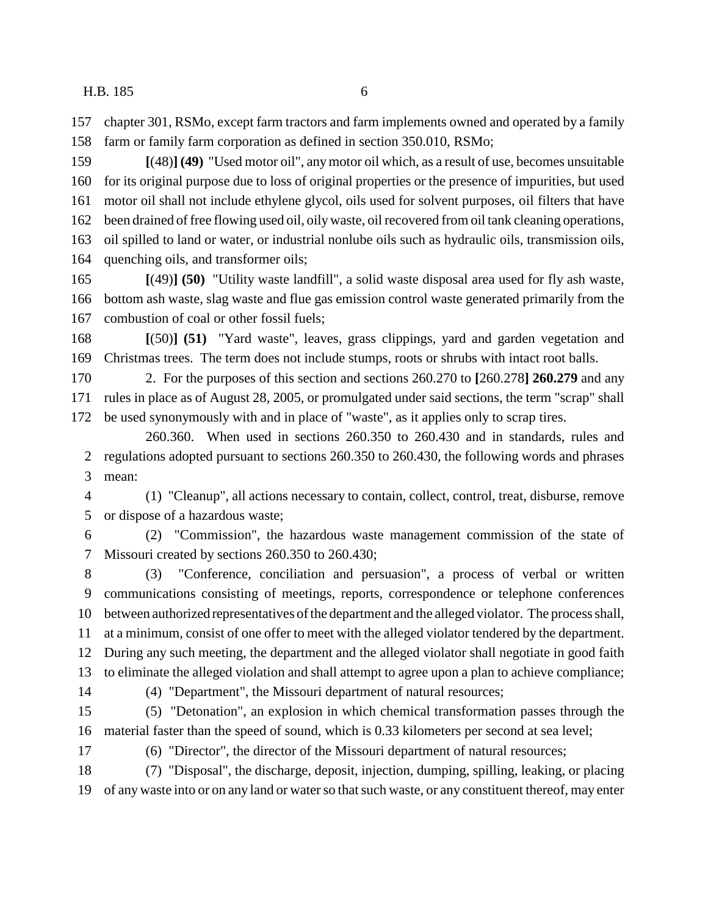chapter 301, RSMo, except farm tractors and farm implements owned and operated by a family farm or family farm corporation as defined in section 350.010, RSMo;

 **[**(48)**] (49)** "Used motor oil", any motor oil which, as a result of use, becomes unsuitable for its original purpose due to loss of original properties or the presence of impurities, but used motor oil shall not include ethylene glycol, oils used for solvent purposes, oil filters that have been drained of free flowing used oil, oily waste, oil recovered from oil tank cleaning operations, oil spilled to land or water, or industrial nonlube oils such as hydraulic oils, transmission oils, quenching oils, and transformer oils;

 **[**(49)**] (50)** "Utility waste landfill", a solid waste disposal area used for fly ash waste, bottom ash waste, slag waste and flue gas emission control waste generated primarily from the combustion of coal or other fossil fuels;

 **[**(50)**] (51)** "Yard waste", leaves, grass clippings, yard and garden vegetation and Christmas trees. The term does not include stumps, roots or shrubs with intact root balls.

 2. For the purposes of this section and sections 260.270 to **[**260.278**] 260.279** and any rules in place as of August 28, 2005, or promulgated under said sections, the term "scrap" shall be used synonymously with and in place of "waste", as it applies only to scrap tires.

260.360. When used in sections 260.350 to 260.430 and in standards, rules and regulations adopted pursuant to sections 260.350 to 260.430, the following words and phrases mean:

 (1) "Cleanup", all actions necessary to contain, collect, control, treat, disburse, remove or dispose of a hazardous waste;

 (2) "Commission", the hazardous waste management commission of the state of Missouri created by sections 260.350 to 260.430;

 (3) "Conference, conciliation and persuasion", a process of verbal or written communications consisting of meetings, reports, correspondence or telephone conferences between authorized representatives of the department and the alleged violator. The process shall, at a minimum, consist of one offer to meet with the alleged violator tendered by the department. During any such meeting, the department and the alleged violator shall negotiate in good faith to eliminate the alleged violation and shall attempt to agree upon a plan to achieve compliance;

(4) "Department", the Missouri department of natural resources;

 (5) "Detonation", an explosion in which chemical transformation passes through the material faster than the speed of sound, which is 0.33 kilometers per second at sea level;

(6) "Director", the director of the Missouri department of natural resources;

 (7) "Disposal", the discharge, deposit, injection, dumping, spilling, leaking, or placing of any waste into or on any land or water so that such waste, or any constituent thereof, may enter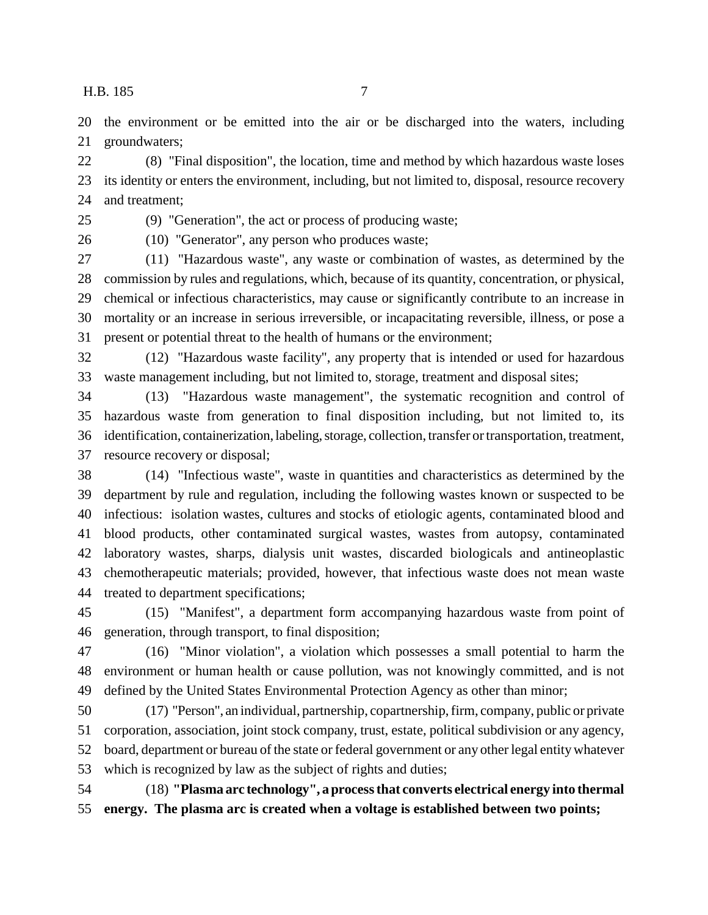the environment or be emitted into the air or be discharged into the waters, including groundwaters;

 (8) "Final disposition", the location, time and method by which hazardous waste loses its identity or enters the environment, including, but not limited to, disposal, resource recovery and treatment;

(9) "Generation", the act or process of producing waste;

(10) "Generator", any person who produces waste;

 (11) "Hazardous waste", any waste or combination of wastes, as determined by the commission by rules and regulations, which, because of its quantity, concentration, or physical, chemical or infectious characteristics, may cause or significantly contribute to an increase in mortality or an increase in serious irreversible, or incapacitating reversible, illness, or pose a present or potential threat to the health of humans or the environment;

 (12) "Hazardous waste facility", any property that is intended or used for hazardous waste management including, but not limited to, storage, treatment and disposal sites;

 (13) "Hazardous waste management", the systematic recognition and control of hazardous waste from generation to final disposition including, but not limited to, its identification, containerization, labeling, storage, collection, transfer or transportation, treatment, resource recovery or disposal;

 (14) "Infectious waste", waste in quantities and characteristics as determined by the department by rule and regulation, including the following wastes known or suspected to be infectious: isolation wastes, cultures and stocks of etiologic agents, contaminated blood and blood products, other contaminated surgical wastes, wastes from autopsy, contaminated laboratory wastes, sharps, dialysis unit wastes, discarded biologicals and antineoplastic chemotherapeutic materials; provided, however, that infectious waste does not mean waste treated to department specifications;

 (15) "Manifest", a department form accompanying hazardous waste from point of generation, through transport, to final disposition;

 (16) "Minor violation", a violation which possesses a small potential to harm the environment or human health or cause pollution, was not knowingly committed, and is not defined by the United States Environmental Protection Agency as other than minor;

 (17) "Person", an individual, partnership, copartnership, firm, company, public or private corporation, association, joint stock company, trust, estate, political subdivision or any agency, board, department or bureau of the state or federal government or any other legal entity whatever which is recognized by law as the subject of rights and duties;

 (18) **"Plasma arc technology", a process that converts electrical energy into thermal energy. The plasma arc is created when a voltage is established between two points;**